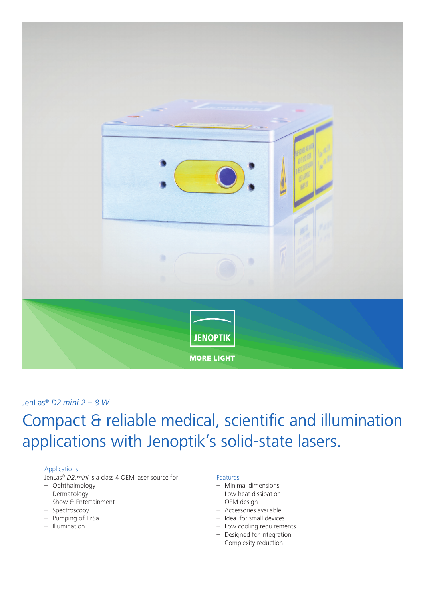

## JenLas® *D2.mini 2 – 8 W*

# Compact & reliable medical, scientific and illumination applications with Jenoptik's solid-state lasers.

### Applications

JenLas® *D2.mini* is a class 4 OEM laser source for

- Ophthalmology
- Dermatology
- Show & Entertainment
- Spectroscopy
- Pumping of Ti:Sa
- Illumination

#### Features

- Minimal dimensions
- Low heat dissipation
- OEM design
- Accessories available
- Ideal for small devices
- Low cooling requirements
- Designed for integration
- Complexity reduction